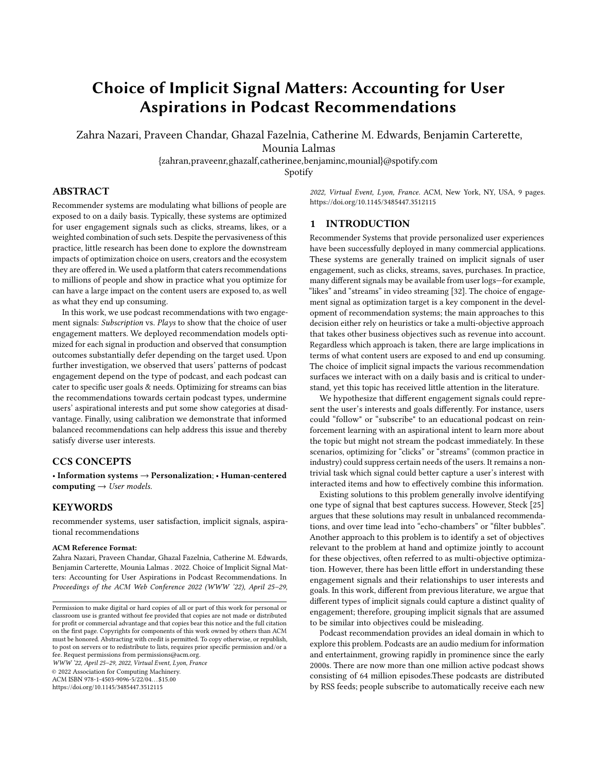# Choice of Implicit Signal Matters: Accounting for User Aspirations in Podcast Recommendations

Zahra Nazari, Praveen Chandar, Ghazal Fazelnia, Catherine M. Edwards, Benjamin Carterette,

Mounia Lalmas

{zahran,praveenr,ghazalf,catherinee,benjaminc,mounial}@spotify.com

Spotify

# ABSTRACT

Recommender systems are modulating what billions of people are exposed to on a daily basis. Typically, these systems are optimized for user engagement signals such as clicks, streams, likes, or a weighted combination of such sets. Despite the pervasiveness of this practice, little research has been done to explore the downstream impacts of optimization choice on users, creators and the ecosystem they are offered in. We used a platform that caters recommendations to millions of people and show in practice what you optimize for can have a large impact on the content users are exposed to, as well as what they end up consuming.

In this work, we use podcast recommendations with two engagement signals: Subscription vs. Plays to show that the choice of user engagement matters. We deployed recommendation models optimized for each signal in production and observed that consumption outcomes substantially defer depending on the target used. Upon further investigation, we observed that users' patterns of podcast engagement depend on the type of podcast, and each podcast can cater to specific user goals & needs. Optimizing for streams can bias the recommendations towards certain podcast types, undermine users' aspirational interests and put some show categories at disadvantage. Finally, using calibration we demonstrate that informed balanced recommendations can help address this issue and thereby satisfy diverse user interests.

# CCS CONCEPTS

 $\bullet$  Information systems  $\to$  Personalization;  $\bullet$  Human-centered computing  $\rightarrow$  User models.

## KEYWORDS

recommender systems, user satisfaction, implicit signals, aspirational recommendations

#### ACM Reference Format:

Zahra Nazari, Praveen Chandar, Ghazal Fazelnia, Catherine M. Edwards, Benjamin Carterette, Mounia Lalmas . 2022. Choice of Implicit Signal Matters: Accounting for User Aspirations in Podcast Recommendations. In Proceedings of the ACM Web Conference 2022 (WWW '22), April 25–29,

WWW '22, April 25–29, 2022, Virtual Event, Lyon, France © 2022 Association for Computing Machinery. ACM ISBN 978-1-4503-9096-5/22/04. . . \$15.00

<https://doi.org/10.1145/3485447.3512115>

2022, Virtual Event, Lyon, France. ACM, New York, NY, USA, [9](#page-8-0) pages. <https://doi.org/10.1145/3485447.3512115>

## 1 INTRODUCTION

Recommender Systems that provide personalized user experiences have been successfully deployed in many commercial applications. These systems are generally trained on implicit signals of user engagement, such as clicks, streams, saves, purchases. In practice, many different signals may be available from user logs—for example, "likes" and "streams" in video streaming [\[32\]](#page-8-1). The choice of engagement signal as optimization target is a key component in the development of recommendation systems; the main approaches to this decision either rely on heuristics or take a multi-objective approach that takes other business objectives such as revenue into account. Regardless which approach is taken, there are large implications in terms of what content users are exposed to and end up consuming. The choice of implicit signal impacts the various recommendation surfaces we interact with on a daily basis and is critical to understand, yet this topic has received little attention in the literature.

We hypothesize that different engagement signals could represent the user's interests and goals differently. For instance, users could "follow" or "subscribe" to an educational podcast on reinforcement learning with an aspirational intent to learn more about the topic but might not stream the podcast immediately. In these scenarios, optimizing for "clicks" or "streams" (common practice in industry) could suppress certain needs of the users. It remains a nontrivial task which signal could better capture a user's interest with interacted items and how to effectively combine this information.

Existing solutions to this problem generally involve identifying one type of signal that best captures success. However, Steck [\[25\]](#page-8-2) argues that these solutions may result in unbalanced recommendations, and over time lead into "echo-chambers" or "filter bubbles". Another approach to this problem is to identify a set of objectives relevant to the problem at hand and optimize jointly to account for these objectives, often referred to as multi-objective optimization. However, there has been little effort in understanding these engagement signals and their relationships to user interests and goals. In this work, different from previous literature, we argue that different types of implicit signals could capture a distinct quality of engagement; therefore, grouping implicit signals that are assumed to be similar into objectives could be misleading.

Podcast recommendation provides an ideal domain in which to explore this problem. Podcasts are an audio medium for information and entertainment, growing rapidly in prominence since the early 2000s. There are now more than one million active podcast shows consisting of 64 million episodes.These podcasts are distributed by RSS feeds; people subscribe to automatically receive each new

Permission to make digital or hard copies of all or part of this work for personal or classroom use is granted without fee provided that copies are not made or distributed for profit or commercial advantage and that copies bear this notice and the full citation on the first page. Copyrights for components of this work owned by others than ACM must be honored. Abstracting with credit is permitted. To copy otherwise, or republish, to post on servers or to redistribute to lists, requires prior specific permission and/or a fee. Request permissions from permissions@acm.org.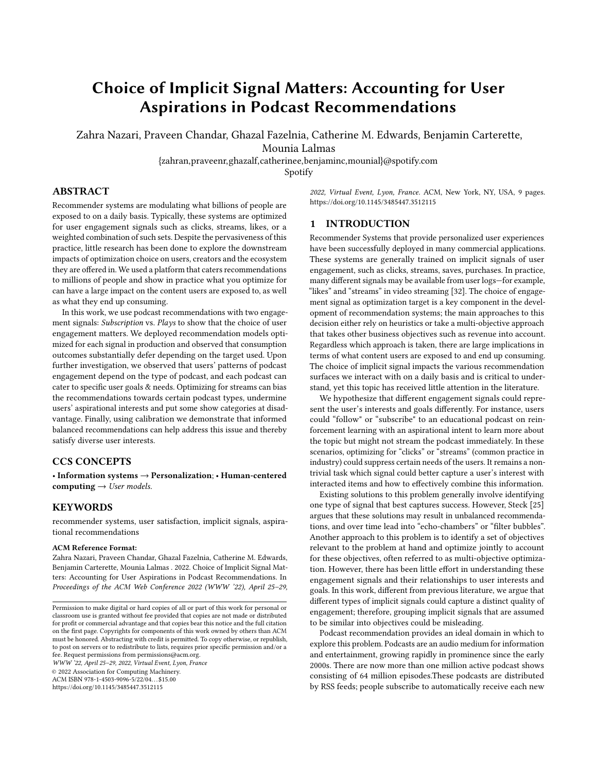episode.But it is also common to "dip in" and just listen to single podcast episodes. Thus podcasts offer two strong engagement signals: show subscriptions and episode plays. Many information or entertainment media offer only one strong signal of engagement amongst many weaker signals.

In this work we take advantage of this distinguishing property of the podcast domain to tackle the problem of optimizing in the presence of multiple implicit engagement signals. We show that the choice of signal for training can have surprising downstream consequences. Further, we show that different signals capture different pieces of information about user preferences. This points to a need for a unified approach to recommendation. We approach this problem by asking three specific research questions. The first concerns the choice of implicit engagement signal to optimize.

#### RQ1: How does choice of implicit signals for optimization affect podcast recommendations and consumption patterns?

To answer this, we conduct both offline and online experiments comparing two different recommendation models trained on subscribe-based and play-based engagement for podcast recommendations. We find significant discrepancies in outcomes, leading to our next research question.

#### RQ2: What factors are predictors of each engagement type?

We use human-annotated labels to categorize podcasts to study the relationship between podcast characteristics and different engagement types. We conduct regression analyses using logs from Spotify, a large audio streaming platform, finding that the category and theme of a show are strong predictors of one type of engagement while inversely predicting the other. For instance, educational shows are subscribed to more often than they are listened to. Similar findings have been reported in the psychology literature [\[19,](#page-8-3) [23\]](#page-8-4). This raises the question of how to simultaneously optimize for different user goals, which leads to our final research question.

RQ3: How do we optimize recommendation systems to account for user goals captured across different engagement signals?

The insights from previous steps served as motivation to propose a new optimization approach that reflects our new understanding of user behavior in podcast consumption. We train models that are optimized for user engagement in the form of streams, while calibrating the recommendations to reflect the user's aspirational interests captured in subscription behavior. A by-product of this calibration results in increased diversity and coverage in terms of podcast categories. The goal of this step is not to compare the calibration approach to other multi-objective optimization solutions, but to showcase an example of how a deeper understanding of user engagement signals can help us make informed decisions on the optimization approach.

The key contributions and findings in this paper include:

- To the best of our knowledge, this work is the first to study the consequences of implicit engagement signal choice for recommendation systems both in offline and online settings.
- We provide a methodology to investigate this further that involves both human manual annotations and millions of interaction logs from a large audio streaming platform.

• Motivated by our insights from the previous step, we employ calibration methods to show that leveraging both engagement signals can result in more balanced recommendation and increased user consumption across user goals.

The rest of this paper is organized as follows. Section [2](#page-1-0) summarizes previous work. Section [3](#page-2-0) shows that the choice of implicit signal used for training a recommender has a large impact on both recommended items and user consumption. Section [4](#page-4-0) shows that these differences are not due to availability factors such as show release cadence and episode length, but due to the goal a show serves. Section [5](#page-6-0) presents a calibration method to reconcile the two different engagement signals, and we conclude in Section [6.](#page-7-0)

# <span id="page-1-0"></span>2 RELATED WORK

This work is related to four areas, users' preferences, bias in recommender systems, podcast consumptions and metrics.

Users' Preferences. Historically, recommender systems were developed assuming access to user preferences in the form of explicit feedback, e.g. item ratings [\[13\]](#page-8-5). The deployment of recommender systems in many domains, where millions of users interact with millions of items, shifted the attention from explicit feedback to implicit interaction signals [\[2\]](#page-8-6). Oard et al. [\[21\]](#page-8-7) classified implicit signals into three categories. Examination describes engagement signals such as "plays", "views", and "purchase", where as Retention includes signals that imply future use such as "save", "bookmark" and "subscription". Finally, Reference describes social signals such as "forward". These categories correspond to different ways users engage with content. Two of these categories are also apparent when users engage with podcasts, namely Examination as Plays and Retention as Subscriptions.

Bias in Recommender Systems. Studies of analyzing bias arising from using implicit signals have mostly focused on an underlying assumption: the mere existence of an implicit signal is considered as positive feedback for a user and item pair, and considering all other items a user has not interacted with as a potential negative association pool. This is known to not hold [\[22,](#page-8-8) [24\]](#page-8-9), and in addition can introduce severe bias into the system. Researchers have sought to address this problem in both training [\[7,](#page-8-10) [10,](#page-8-11) [12\]](#page-8-12) and offline evaluation [\[29\]](#page-8-13). However, we focus on a fundamentally different bias, that is the positive labels themselves could be biased towards specific categories of items due to various reasons, such as how users engage with particular categories of items.

There has recently been more work on the optimization of recommender systems for users' long-term engagement. Delayed signals such as dwell time and revisits are either explicitly [\[33\]](#page-8-14) or implicitly [\[4,](#page-8-15) [11\]](#page-8-16) used to plan sequences of recommendations and optimize for longer engagement. These studies report improvements on increasing long-term engagement, but it is not clear what would be their effect on satisfying various user goals and item exposure. To optimize for a longer engagement, such algorithms end up recommending items with longer dwell time and more frequent revisits. In our work, we show that such practices could advantage specific set of items and ignore some user intents.

Podcast Consumption Goals. Podcasts are produced as shows, where each show has a specific theme and releases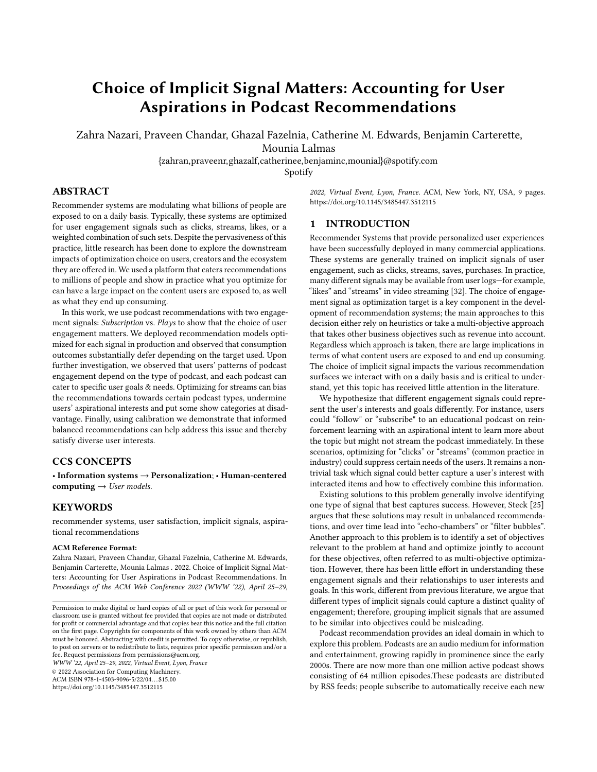episodes periodically. According to [\[3,](#page-8-17) [17\]](#page-8-18), podcasts are consumed for a variety of reasons including education, relaxation, and entertainment. In particular, the role of podcasts as an effective tool for educational purposes has been well documented in [\[8\]](#page-8-19). A study from [\[9\]](#page-8-20) suggests that podcasts are used as a way to pursue knowledge and access to intellectually challenging content. A recent study on podcast recommendations showed that taking into account explicit feedback in the form of topic onboarding resulted in an increase in engagement levels by 24% [\[30\]](#page-8-21). In this work, we focus on large-scale applications where information about users' interests is limited to the implicit signals from their interactions. We show that depending on what goal a show serves, users engage with podcasts in a different manner. This has implications when developing podcast recommender systems, as they need to cater for different types of engagement.

Beyond Accuracy. There has been a growing interest in developing recommenders that optimize for objectives beyond accuracy such as diversity [\[28\]](#page-8-22), novelty [\[26\]](#page-8-23), sustainability [\[27\]](#page-8-24), aiming at satisfying users' diverse needs. In an attempt to satisfy users' lesserknown interests, Steck et al. [\[25\]](#page-8-2) proposed a calibration framework. Ekstrand et al. [\[6\]](#page-8-25) call out the current approach of using implicit engagement signals as "behaviorism" and urge practitioners to include users' explicit goals. Knijnenburg et al. [\[15\]](#page-8-26) suggest that recommender systems should not replace human decision making but support them to understand their preferences and optimize accordingly. In this work, we use manually annotating content with metadata that describes the primary goal a podcast seves and use them as proxies for user goals. We adopt a framework inspired by Steck [\[25\]](#page-8-2) to balance different types of user goals.

# <span id="page-2-0"></span>3 IMPACT OF IMPLICIT SIGNAL CHOICES ON RECOMMENDATIONS

The choice of implicit engagement signals used to optimize recommender systems have a significant impact on the type of items shown to the user, which in turn, can affect what the user consumes. To demonstrate this, we conducted offline experiments on large-scale real-world datasets as well as online experiments with users of an audio content recommendation service.

#### 3.1 Podcast Recommendations

Podcast recommendation entails matching user interests and tastes with podcasts that are most likely to satisfy them. Although podcasts are audio content like music, users interact with them differently. Podcasts contain spoken content, and are usually more informational than music. Further, podcasts are produced as shows consisting of several episodes. Often, a show has a specific theme and its episodes are released periodically.

We conduct experiments on Spotify, a large audio streaming platform that hosts both music and podcasts content. The platform recommends content to the user using a grid layout that groups related content into a carousel, where podcasts are assigned to a dedicated carousel. Users can interact with the recommended podcast shows by clicking or tapping on the show. This take them to the page of the show, which contains a description of the show along with a list of episodes. Users can decide to stream an episode or subscribe to the show. Subscribing to a show adds the show to a user's library, allowing them fast and easy access later on and does not imply monetary payment.

## 3.2 Recommendation Model

Our goal here is to highlight the differences observed when optimizing recommendation algorithms based on different engagement signals. We use a recommendation algorithm based on deep neural networks that has shown promising results in similar recommendation applications [\[20\]](#page-8-27). Inspired by the CBOW (Continuous Bag of Words) model [\[18\]](#page-8-28), the framework casts the recommendations problem as an extreme multi-class classification task modeled by a multilayer perceptron. This provides flexibility in handling heterogeneous feature sets, and their success in recommendation applications has been widely reported [\[1,](#page-8-29) [5,](#page-8-30) [31\]](#page-8-31). We expect our results to hold for most machine learning-based recommendation algorithms and differ an actual empirical comparison to future work.

<span id="page-2-2"></span>3.2.1 Recommendation Algorithm. Given a set of features  $S$  and a representation  $U(S)$  of user U, we train a neural network that maps a user to a distribution over items in the podcast domain  $P$ . Representation of sparse features could be learned through backward passes of the entire network in an end-to-end optimization, whereas dense features could be memorized through the network and concatenated to the final user representation at any stage.

We use a softmax activation layer and minimize the cross entropy loss for the true label and the negative samples. Let  $i \in P$  be the label, and  $p_i$  be an *N*-dimensional vector representation of *i*. The user  $U(S)$  is then shown as an N-dimensional vector  $u$ .

$$
P(i|U(S)) = \frac{e^{p_i u}}{\sum_{j \in P} e^{p_j u}}
$$

This optimization results in a dense vector  $u \in \mathbb{R}^N$  that is closer to the item  $i$ 's vector as the weights of the node  $i$  in softmax layer  $p_i \in \mathbb{R}^N$  are trained.

In our case, a class corresponds to a podcast show, so we need to handle a large number of classes during training. We therefore use importance sampling, a negative sampling approach proposed in [\[14\]](#page-8-32) that allows models to efficiently converge. The loss function is then calculated as:

$$
J_{\theta} = -\sum_{i \in P} [\log \sigma(up_i) + \sum_{j=1}^{k} \log \sigma(-up_{ij})]
$$

where  $k$  is the number of sampled negatives,  $p_{ij} \in \mathbb{R}^N$  is the vector for the *j*th negative class sampled for label *i* and  $\sigma(x) = \frac{1}{1 + \exp(-x)}$ .

The model enables us to augment side information about the user, such as demographics and their podcast interests. Finally, the model output provides us with a list of podcast recommendations.

3.2.2 Optimization Target. We use one of two types of engagement signals to optimize our recommender systems. The positive labels are determined based on one of the following criteria:

- Subscribe: User-show pairs are assigned a positive label if the user has subscribed to a show. Users can subscribe even before listening to any of its episodes.
- Play: User-show pairs are assigned a positive label if the user streams at least one episode of the show.<sup>[1](#page-2-1)</sup>

<span id="page-2-1"></span> $1$ We use a small time threshold to avoid labeling accidental streams as positive.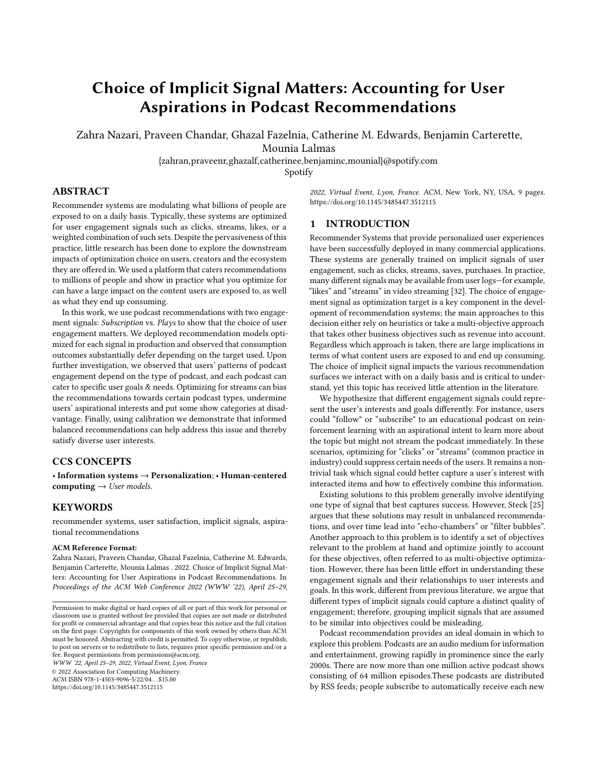In our data, plays are three times as common as subscribes, and there is actually very little overlap between the two—less than 0.01 of all user-show pairs. This already hints at aspirations being neglected due to recommendations aimed at short-term engagement.

## 3.3 Dataset

We randomly sampled 800K users who had listened to podcasts in July 2020 on Spotify. For each user, we recorded the podcast shows the user streamed or subscribed to. We restrict our dataset to users in the US. The different feature sets are described next.

<span id="page-3-2"></span>3.3.1 Show Features. The podcast shows studied in this analysis were the 440 top popular shows in the US and were accompanied by creator-provided metadata, such as category and sub-category information that have gone through an internal quality check. The annotators would use this metadata to annotate each show. Each podcast show was annotated as follows:

Category: Each show was categorized by an expert into one of these seven categories: Knowledge, Entertainment, Sex & Relationships, Business & Technology, Sports, Politics & Current Events, Wellness & Spirituality.

Episode length: Using average episode length, each show was put into one of the following buckets: 1 –15 minutes, 15–30 minutes, about 30 minutes, 30–45 minutes, 45–60 minutes, about 60 minutes, 60–90 minutes, 90–120 minutes, about 120 minutes, 120+ minutes.

Release cadence: To capture the frequency of episode release for each show, we bucketed each show into one of these: >1 episode per day, daily (5–7 episodes per week), 2–4 episodes per week, weekly (1 episode per week), 1 episode every other week,  $\ddot{Y}$  1 episode per month, 1 episode per month and 'cadence varies'.

Self-contained or serialized: A story wrapped up in one episode is annotated as self-contained; otherwise it is annotated as serialized.

Topical or evergreen: If listening to the show more than a week after release reduces its value and appeal, the show was annotated as Topical. If the show contains information that will remain correct and relevant for a long period of time, it was annotated as Evergreen.

Theme: The primary theme of a show was one of the followings: Learning (provides in depth knowledge about a topic), Stay Updated (keeps you updated on the current event), Companionship (makes you feel like you are hanging out with friends), and Sleep Aid (one of the main use cases of this show is for sleep aid).

3.3.2 User Features. We use a set of features to represent users, as used in many recommender systems, including basic demographic information such as self-reported age, gender, etc. In addition, we had access to podcast preferences (e.g. affinity scores), which are derived from user listening history and regularly updated.

## 3.4 Offline Experiments

We describe our training procedure for optimizing the model based on the two chosen engagement signals and report offline model performance on a held-out set.

<span id="page-3-4"></span>3.4.1 Experiment Design. Our online task requires the recommendation produced by the model to be presented to the user in a horizontal list on the platform. Therefore, to reflect the online task,

<span id="page-3-1"></span>

|                    | Subscriptions Label |             | Plays Label |                    |
|--------------------|---------------------|-------------|-------------|--------------------|
| Model              | prec@10             | nDCG@10     | prec@10     | nDCG@10            |
| Subscription Model | $0.036^{a}$         | $0.234^{b}$ | $0.031^{c}$ | $0.209^{d}$        |
| Plays Model        | $0.035^{a}$         | $0.231^{b}$ | $0.034^{c}$ | 0.211 <sup>d</sup> |

we use the top-K recommendations set-up to train and evaluate the models. In other words, the goal of the recommender is to accurately predict the top K recommendations that users are likely to interact with, where K=10 in our case.

We partition the log data into the training and test sets following a user-based split with 75% of the users assigned to the training set. For each data-point, we store the user history as an ordered list of their past interactions. This allows us to use part of the history as features, and avoid data leaks. We train two different models: one using subscriptions as positive labels, and another using plays as positive labels. We call the first model the "Subscription Model" and the second one the "Plays Model".

3.4.[2](#page-3-0) O line Evaluation. Given a user from the test set<sup>2</sup> and a set of all podcast shows, the system is required to provide a ranked list of recommendations. The ranked list of recommendations is then augmented with relevance labels, and standard ranking metrics such as  $prec@k$  and  $nDCG@k$  were used to obtain an effectiveness score. Metrics that discount relevance based on rank-position are best for our use case since users typically pay more attention to the top-ranked items. The results of our offline evaluation are shown in Table [1.](#page-3-1) We report  $prec@10$  and  $nDCG@10$  for both the "Play" and "Subscribe" models. Not surprisingly, the model optimized on subscribe engagement performed best when using subscribe engagement as relevance labels, and similarly for plays.

Next, we report the composition of podcast categories in the top 10 recommendations for each model in Figure [1](#page-4-1) The Knowledge category appears more than twice as much in the recommendations from the Subscription model compared to the Plays model. On the other hand, shows in Politics & Current Events and Sex & Relationship categories tend to happen almost twice as much in the Plays model compared to the Subscription model. Entertainment shows also appear about 5% more often in the Plays model.

Our offline experiments suggest that the choice of engagement type as an optimization target affects its model performance. They also showed that optimization targets have a direct impact on the composition of the recommendations, i.e., it impacts what podcasts are shown to users. Next, we turn to online experimentation to understand how this affects user consumption of podcasts.

## <span id="page-3-3"></span>3.5 Online Experiments

We conducted an online experiment or A/B test, as this provides a direct way to compare variants of machine learning models given a live production recommender system [\[16\]](#page-8-33). To compare "Subscription" and "Plays" models, we randomly assign a portion of our user population to two different variants of the podcast carousel on the platform's homepage for a period of two weeks. Each variant ended up with 800K randomly selected users. The podcast carousel

<span id="page-3-0"></span> $2$ As noted earlier, the timestamps enabled us to further split the test set based on time. Therefore, a portion of the user history was used as features to the model, and the rest for evaluation.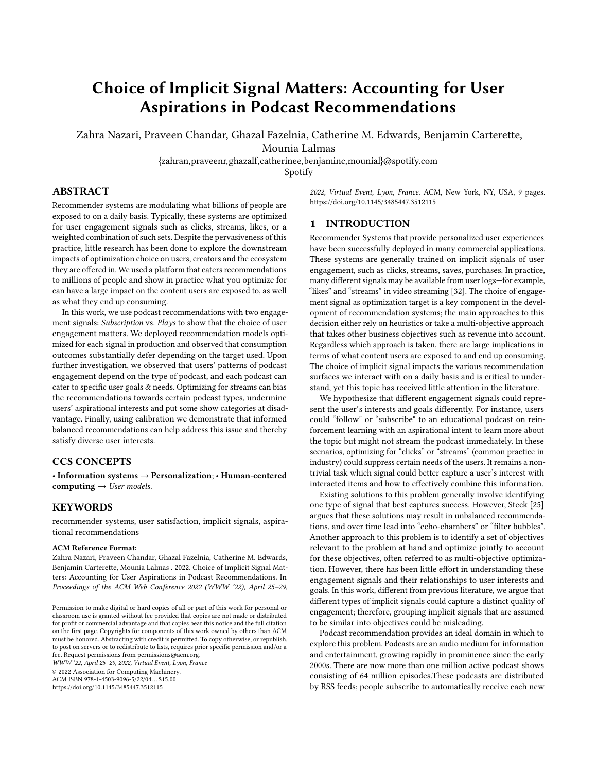<span id="page-4-1"></span>Choice of Implicit Signal Matters: Accounting for User Aspirations in Podcast Recommendations WWW '22, April 25-29, 2022, Virtual Event, Lyon, France



## Figure 1: Category distribution of the top 10 recommendations from the Subscription model (top) compared to the Plays Model (bottom).

for each variant was powered by the "Subscription" and "Plays" models, respectively. We analyze and report show exposure and user consumption patterns for the two variants below.

We first confirm our findings from the offline experiments that the "Subscription" and "Plays" models exposed different types of podcasts to users. Figure [2](#page-5-0) left side shows the relative difference in exposure between the two models for different podcast categories. Positive values indicate that the category was seen more by the users assigned to the "Subscription" model than the "Plays" model and vice versa for negative values. Note that Knowledge and Business podcasts are exposed more in the "Subscription" model, which is consistent with our offline findings.

Interestingly, we notice that the difference in exposure translates into a change in consumption patterns as well. Figure [2](#page-5-0) right side shows the relative difference in consumption between the two models for different podcast categories. Similar to the exposure plots, the positive values correspond to higher consumption in the "Subscription" model. Not only does the "Subscription' model result in a relative increased exposure of podcasts categories such as Knowledge and Business but also an increase in consumption. This suggests that a poor choice of optimization target could potentially lead to certain content types being disadvantaged. These results provide conclusive evidence that the engagement type used to optimize machine learning models significantly impacts the category of shows that users consume.

Our offline and online results demonstrate that the choice of engagement type used to optimize recommender systems impacts user consumption patterns. This emphasizes the need for practitioners to pay close attention when choosing which feedback signals to use as proxies of engagement. Otherwise recommender systems could reinforce consumption patterns that leads to over-consumption of certain types of items and under-consumption of others. These results suggest that there exists a discrepancy between "Play" and "Subscribe" engagement types. We investigate the potential factors that could explain the observed discrepancy next.

## <span id="page-4-0"></span>4 UNDERSTANDING ENGAGEMENT TYPES

We carry out an observational study to gain a comprehensive understanding of various engagement types. We conduct our study on millions of users over a period of 12 months spanning across 2019 & 2020 using log data that contained user interactions on podcasts. The logs consisted of information regarding the subscription status of the user-show pair and detailed history of consumption of episodes from the show with timestamps.

Our primary goal here is to understand the relationship between characteristics of a podcast such as topic category, release cadence, and the type of engagement that users have with that podcast. We use the two engagement signals, Subscribe and Play. In addition, we expand the Play signal to include two additional categories that intend to capture different types of engagement. The four different engagement signals are:

Subscribe: If the user has subscribed to a podcast show.

**Played** *i*  $\delta$  mins: If the user consumed at least  $\delta$  mins of any episode from a podcast show.

**Played**  $i$  2 Episodes: If the user has played a minimum of three episodes from a show.

**Played**  $\gamma$  7 Days: If a user has returned to a show for more than seven days.

We characterize each podcast show using the manual annotations (see Section [3.3.1\)](#page-3-2). We investigate the following two hypotheses:

H1: Release cadence of a show affects how users engage with podcasts. For example, users may subscribe to a show regardless of their average episode length, but may not end up listening to the lengthier ones. On the other hand, shows that have frequent release cycle are likely to be streamed more.

H2: The intent of a podcast can lead to different engagement patterns. Podcasts are created to serve different user goals. For example, a news-related show may attract more streams because users' habits might lead them to consume news on a daily basis. On the other hand, users may not listen to a knowledge show as frequently even when released daily. Nonetheless, users may be equally interested in a show even if they do not engage with them in a similar manner.

# 4.1 Normalization of Engagement Signals

Podcast shows have various levels of popularity, which may be a confounding factor. We therefore perform a normalization step to ensure that shows with different popularity levels and across various engagement types are comparable with one other. We denote  $P_i^k$  as the ratio of users who had the specific interaction k out of all users who had any type of interactions with the show *i*.

## 4.2 Subscription vs. Play Engagement Types

We compare the average values of  $P_i^k$  for the subscription behaviour in Figure [3](#page-5-1) and for engagement behaviour related to plays in Figure [4](#page-5-2) for different podcast categories. These two graphs demonstrate clear differences between show categories in the distribution of each engagement signal similar to what we observed in Section [3.5.](#page-3-3) Shows in the knowledge category are more likely to be subscribed by users, while they are less likely to have frequent episode plays or daily returns to the show. On the other end of the spectrum, sports shows tend to get engaged with at a higher cadence, as Played  $\dot{\textit{i}}$  2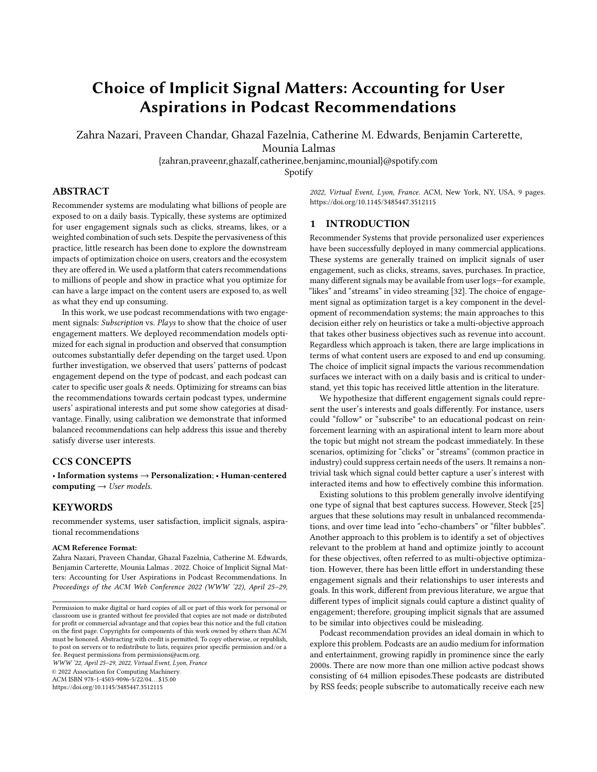<span id="page-5-0"></span>WWW '22, April 25-29, 2022, Virtual Event, Lyon, France Zahra Nazari, Praveen Chandar, Ghazal Fazelnia, Catherine M. Edwards, Benjamin Carterette, Mounia Lalmas



Figure 2: Relative difference in consumption (Left) and exposure (right) between Subscription and Plays model for each category. Positive values represent categories with more consumption in the Subscription Model.

<span id="page-5-1"></span>

<span id="page-5-2"></span>Figure 3: Subscription comparison based on show category.



Figure 4: Engagement types comparison grouped by category.

Episodes Played  *7 Days are higher for this category. We next* perform regression analyses to explore the potential causes of these observed differences in engagement types.

# 4.3 Effect of Podcast Characteristics on Engagement

We conduct a regression analysis to investigate hypothesis H1. The normalized engagement score  $P_i^k$  for each engagement type k is used as the dependent variable. Our independent variables include podcast characteristics such as Category, Episode Length, Episode Cadence, Serialized, Evergreen, and Theme, obtained from the manual annotation. We followed a standard procedure in training multiple linear regression models, and since all independent variables are categorical, we used dummy variables

to represent each in the model. Each categorical variable with k values was presented using k-1 numbers instead of k numbers, to avoid multicollinearity trap. Moreover, dummy variables inherently satisfy the linearity assumption. We also performed a generalized variance-inflation factors test for each independent variable and values were all below 1.5, which is small enough to rule out multicollinearity.

The results of the regression are shown in Table [2.](#page-6-1) The overall model fit  $(R<sup>2</sup>)$  for predicting Subscriptions, Plays, >2 episodes, >7 days signals were 0.33, 0.32, 0.31 and 0.42 respectively. We report only those characteristics that were significant (p-value <0.05). The category of a show is the most important predictor across all engagement types. We also observe that shows in the knowledge category are more likely to be subscribed, whereas sports shows are more likely to be streamed periodically.

Next, we explore the effect of show category in predicting each normalized engagement score  $(P_i^k)$  when controlled for length and cadence of a show. We perform the same regression analysis, this time in two steps: (1) using only the length and cadence as independent variables, and then (2) adding show categories as additional independent variables. Results from the two steps regression are reported in Table [3.](#page-6-2) It is clear that the category of a show remains an important predictor (predicting as large as 65% of the variance in normalized engagement signal) even after controlling for length and cadence of a show (The overall model fit  $(R^2)$  for predicting Subscriptions, Plays, >2 episodes and >7 days signals were 0.27, 0.23, 0.26 and 0.38 respectively).

These results help us reject our first hypothesis that availability of a show defined by its length and cadence are the main factors in identifying engagement types with a podcast show. This suggests that podcast metadata could be useful proxies of user goals, and we look into this next.

#### 4.4 Effect of User Goals on Engagement

We also test the hypothesis H2 using regression. We retain only the themes annotated for each podcast to indicate the primary user goal satisfied by the podcast. Similar to how Tomkins et al. [\[27\]](#page-8-24) use metadata to study sustainability of products, we incorporate prior knowledge about podcasts such as their primary theme as a proxy of user goals in our study. Table [4](#page-6-3) shows the regression coefficients for the significant "themes".

There are two key findings. First, users are more likely to subscribe to shows about learning. Second, there is a lower probability for shows about learning to get "Play" related engagement types compared to the other themes. This confirms the hypothesis H2 that goals satisfied by a podcast can lead to different interaction patterns with that podcast. Further, we argue that a lower "Play" related engagement on a podcast does not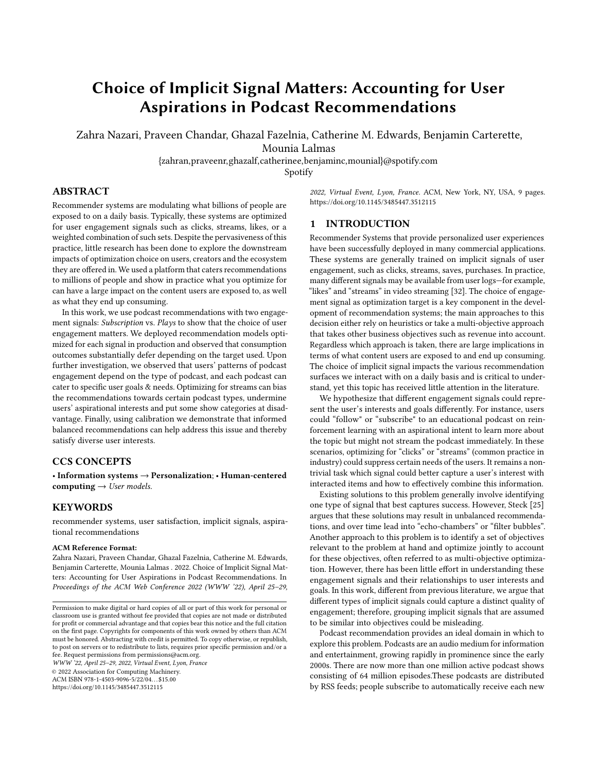<span id="page-6-1"></span>Table 2: Feature weights in regression analysis predicting each implicit signal likelihood.

| Target                          | Feature                  | Coefficient | p-value |
|---------------------------------|--------------------------|-------------|---------|
| <b>Predicting Subscriptions</b> |                          |             |         |
|                                 | Category = Knowledge     | 0.41        | 0.000   |
|                                 | Category = Wellness      | 0.21        | 0.002   |
| <b>Predicting Plays</b>         |                          |             |         |
|                                 | Category = Knowledge     | $-0.44$     | 0.000   |
|                                 | Category = Wellness      | $-0.26$     | 0.000   |
|                                 | $Category = Business$    | $-0.15$     | 0.006   |
| Predicting > 2 episodes         |                          |             |         |
|                                 | Serialized $=$ true      | 0.34        | 0.000   |
|                                 | Category = Sports        | 0.23        | 0.000   |
|                                 | Cadence = Daily          | 0.10        | 0.005   |
|                                 | Cadence < 1 per month    | $-0.16$     | 0.011   |
| Predicting >7 days              |                          |             |         |
|                                 | Category = Knowledge     | $-0.20$     | 0.000   |
|                                 | Avg length $= 1-15$ mins | $-0.15$     | 0.001   |
|                                 | $Category = Sports$      | 0.14        | 0.003   |

<span id="page-6-2"></span>Table 3: Results from performing regression analysis predicting different targets in two steps

| Target                          | Step1)          | Step2)       | % improvement |
|---------------------------------|-----------------|--------------|---------------|
|                                 | Cadence and     | Add Category |               |
|                                 | Length Features | Features     |               |
| <b>Predicting Subscriptions</b> | 0.086           | 0.16         | 46%           |
| <b>Predicting Plays</b>         | 0.08            | 0.232        | 65%           |
| Predicting >2 episodes          | 0.07            | 0.19         | 63%           |
| Predicting >7 days              | 0.24            | 0.33         | 27%           |

#### <span id="page-6-3"></span>Table 4: Feature weights in regression analysis when category features are excluded.

| Target                          | Feature             | Coefficient | p-value |
|---------------------------------|---------------------|-------------|---------|
| <b>Predicting Subscriptions</b> |                     |             |         |
|                                 | Learning = True     | 0.26        | 0.000   |
|                                 | Evergreen = True    | 0.18        | 0.000   |
|                                 | Sleep Aid = True    | $-0.17$     | 0.000   |
| <b>Predicting Plays</b>         |                     |             |         |
|                                 | Evergreen = Topical | 0.25        | 0.000   |
|                                 | Sleep Aid = True    | 0.21        | 0.000   |
| Predicting > 2 episodes         |                     |             |         |
|                                 | Serialized $=$ true | 0.27        | 0.000   |
|                                 | Evergreen = Topical | 0.15        | 0.001   |
|                                 | Sleep Aid = True    | $-0.162$    | 0.000   |
|                                 | Learning = True     | $-0.13$     | 0.003   |
| Predicting >7 days              |                     |             |         |
|                                 | Evergreen = Topical | 0.23        | 0.000   |
|                                 | Companionship = yes | 0.15        | 0.015   |

necessarily mean users are not interested in them.

This shows that the podcast category and user goals play an important role in how users interact with that podcast, even after accounting for popularity, release schedules, and episode length. Factors that positively predict one type of engagement may negatively predict the other. Further, using human annotated themes for podcasts, we are able to amplify our understanding of user goals. Next, we present a method to use both types of engagements in forming recommendations.

## <span id="page-6-0"></span>5 RECONCILING ENGAGEMENT TYPES

The common practice in recommender system applications is to rely on a single source of ground truth. Engagement signals such as clicks, streams, or explicit feedback such as user ratings are often used as ground truth labels for training and evaluating models. However, we demonstrated in this paper that when multiple engagement types exist, they often tend to capture different user goals, i.e., how users intend to consume podcasts. Therefore, successfully incorporating different types of engagement signals

<span id="page-6-4"></span>

#### Figure 5: A toy example showing consumption patterns for two types of engagement: "Play" and "Subscribe".

becomes paramount when developing recommenders. A similar viewpoint was discussed by Ekstrand and Willemsen [\[6\]](#page-8-25).

Our goal in this section is to demonstrate how existing calibration frameworks can be used to optimize recommender systems for different engagement types in practice. Let us consider an example by examining the play consumption and subscription patterns of two sample users. Table [5](#page-6-4) shows, for each sample user, the number of podcasts they have subscribed to and the podcasts they have listened to for more than  $\delta$  mins for each category. user<sub>B</sub> subscribed to three different shows in the Knowledge category, and one in Sports but mostly streamed Sports-related shows, whereas  $user_A$ listens to podcasts they subscribe to. We argue that the shows subscribed by the user are likely to reflect aspirations, whereas Play-related signals are more likely to capture their short-term needs. Therefore, using a "Plays" or "Subscription" model from Section [3.5](#page-3-3) will not fully satisfy the needs of both  $user_A$  and  $user_B$  users. This raises the need to develop recommender systems that balance between aspirations and the short-term needs of users. Next, we briefly describe a calibration framework for simultaneously optimizing different engagement types and report its performance on our podcast recommendation use case.

## 5.1 Calibration

We adopt the framework proposed by Steck [\[25\]](#page-8-2) that uses a two-stage approach. First, we train a base model that optimizes for a primary engagement type. Then, the recommendations obtained are re-ranked in a post-processing step to account for the secondary engagement type. Here, we use the model described in Section [3.2.1](#page-2-2) to optimize on the primary objective and use calibration to account for the secondary engagement type.

We start with an initial recommendation list  $\ell$  of size  $n$  generated by the model from the first step. Then, we use a weighted sum of relevance and calibration for creating the re-ranked recommendations to make sure our calibration does not harm the relevance of the recommended items. Here, relevance implies the user goals relating to primary engagement time, and calibration to secondary engagement. The final step is to pick top-k items that maximizes the marginal relevance:

<span id="page-6-5"></span>
$$
\ell^* = \underset{\ell, |\ell| = n}{\arg\max} (1 - \lambda) \cdot Rel_{primary}(\ell) - \lambda. JSD_{secondary}(P(\ell), Q(S_u)) \tag{1}
$$

where  $\lambda$  is the trade-off parameter that balances between goals relating to the primary and secondary engagement types.  $Rel<sub>primary</sub>(\ell)$  is the sum ofthe predicted scores for items in  $\ell$ .  $P(\ell)$  and  $Q(S_u)$  are obtained by representing the secondary engagement type as a distribution over a pre-defined category variable such as podcast category.  $P(\ell)$  provides a distribution over categories for selected items and  $Q(S_u)$  for remaining candidates. The two distributions are combined using Jensen–Shannon divergence  $(JSD)$  and a final calibrated ranking is obtained by greedily ranking using Equation [1.](#page-6-5)

## 5.2 Experiment Setup

We compare results from the calibrated approach to models optimized for Plays and Subscribe goals, separately. We use an offline experimentation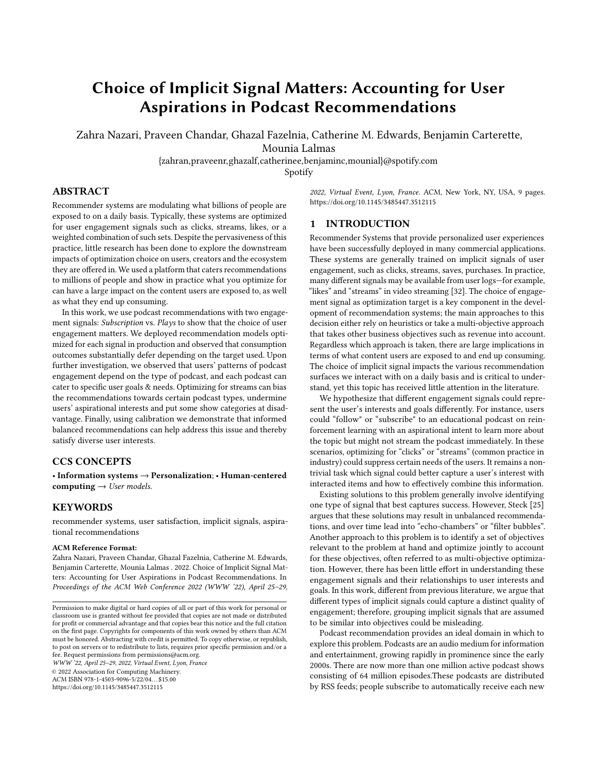<span id="page-7-2"></span>

WWW '22, April 25-29, 2022, Virtual Event, Lyon, France Zahra Nazari, Praveen Chandar, Ghazal Fazelnia, Catherine M. Edwards, Benjamin Carterette, Mounia Lalmas



Figure 6: Effect of varying  $\lambda$  on Prec@ $k_{\textit{Subscript}}$  (left) and  $Prec@k$ <sub>Play</sub> (right)

setup similar to the one described in Section [3.4.1.](#page-3-4) The base recommender used for the calibration approach was trained using data with podcast Play  $> \delta$  mins as the positive label. We use the top 200 recommendations for the post-processing step to calibrate with the Subscribe goals.

5.2.1 Evaluation Metrics. The calibration model is expected to maximize "Subscribe" and "Play" goals simultaneously. We use Prec@k ( $k = 10$  in our experiments) computed using the two signals on relevance labels. In addition, we compute show coverage – the average number of unique shows recommended for all users. We use this as a supplementary metric to measure how well the recommender system represents different podcasts.

# 5.3 Results and Discussion

We report the performance of the calibrated recommendation model measured based on  $Prec@k$  and coverage metrics. A well calibrated model should maximize both the primary (Prec@10<sub>Subscribe</sub>) and secondary  $(Prec@10<sub>Plav</sub>)$  goal.

5.3.1 Calibrated Model Comparison. Calibration aimed to address the discrepancies between Subscribe and Play engagement types. To verify if our calibration does change the distribution of exposure for various categories, we plot the top 10 recommendations grouped by the podcast category for all three models: calibrated, play, and subscribe. Figure [9](#page-7-1) shows the results of the comparison. We notice that the exposure ratio of the calibrated model lies in between the Plays and Subscription Model for all categories except Entertainment. This further validates that the calibrated model is balancing both "Play" and "Subscribe" user goals.

5.3.2 E ect of  $\lambda$  on Prec@ $k_{Play}$  and Prec@ $k_{Subscript}$ . To understand the impact of  $\lambda$ , we hold all model parameters constant and vary only the value  $\lambda \in [0, 1]$ . Figure [6](#page-7-2) shows the result of varying  $\lambda$  between 0 and 1 and report  $Prec@10<sub>Subscript</sub>$  and  $Prec@10<sub>Play</sub>$  metrics. As expected, increasing the  $\lambda$  values results in an increased Prec@ $k_{Subscript}$  score. However, we observed that increasing  $\lambda$  also improves precision (Prec@ $k_{Play}$ ), where the best performance is obtained at  $\lambda = 0.6$ . This result is encouraging since it suggests that there exists an equilibrium at which users' Play-related and Subscribe-related goals are met.

5.3.3 E ect of  $\lambda$  on Show Coverage. Next, we report the Show Coverage metrics when  $\lambda$  is varied. We observe that the overall show coverage shown in Figure [7](#page-7-3) is improved as  $\lambda$  increases. Another side effect of calibration was an increase in coverage for less-represented categories. Figure [8](#page-7-4) shows this growth in each category. "Knowledge" shows obtain more coverage, while "Entertainment" shows lose some of their coverage. Other categories more or less remain the same. These results suggest that the calibration framework used to balance between play and subscribe goals not only improves the precision metrics for the two goals but also recommends more diverse content to users for shows in less represented categories.

## <span id="page-7-0"></span>6 CONCLUSION AND FUTURE WORK

We addressed the challenges that arise from having multiple engagement signals in recommendation applications. Specifically, we focused on podcast recommendation as it provides an ideal domain to explore the dilemma faced by developers in choosing between two strong engagement signals:

<span id="page-7-3"></span>

Lambda Figure 7: Effect of calibration varying  $\lambda$  on overall coverage

<span id="page-7-4"></span>

<span id="page-7-1"></span>Figure 8: Effect of calibration varying  $\lambda$  on category coverage



Figure 9: Comparison of the calibarated model against Play and Subscription Model for different podcast categories.

subscriptions and episode plays. We presented results from a randomized controlled experiment in scale to show that the choice of engagement signals can have a significant impact on not only what recommendations users are shown but also on what they consume. Based on these findings we argue that the repercussions of blindly picking an engagement signal for optimization can lead to undermining certain user goals and putting some content categories at disadvantage.

We presented an observational study that makes use of human annotations to understand the reason for the discrepancies between subscriptions and episode plays engagement signals. Insights from the study indicate that users engage with podcasts in different ways depending on the goals each show serves. For example, users tend to subscribe to shows with a "Learning" theme, but are less likely to play such shows. Optimizing a recommender based on plays can result in under-representing Knowledge-related shows. Coupled with the feedback loop problem in recommender systems, these biases can drastically suppress certain content categories over the long run. Therefore, incorporating different engagement signals is essential when building recommendation models.

Finally, we employed a simple and explainable calibration method to show that combining subscriptions and episode plays engagement signals can indeed result in significant improvements in user engagement. We show that a recommender trained on "Play" and calibrated using "Subscribe" signals would satisfy user goals and ambitions related to both signals.